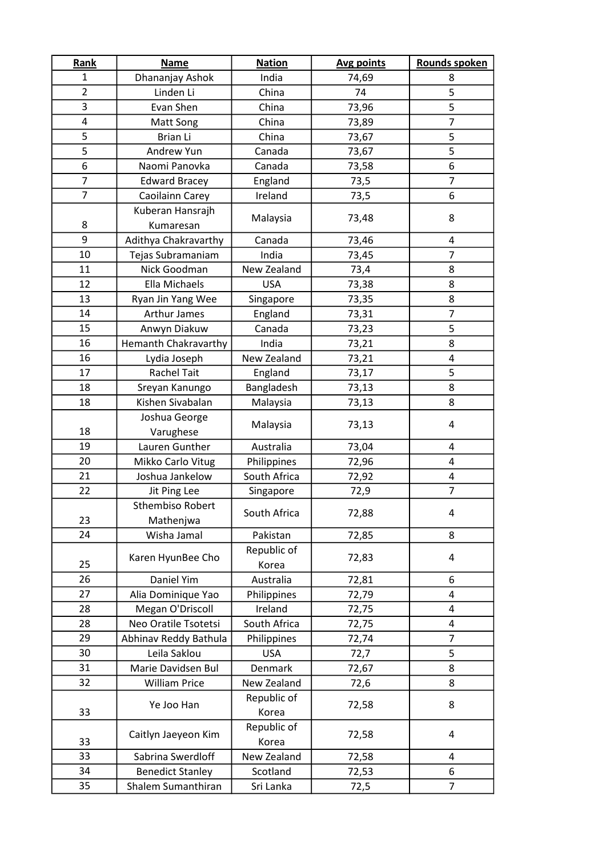| Rank           | <b>Name</b>                 | <b>Nation</b> | Avg points | Rounds spoken  |
|----------------|-----------------------------|---------------|------------|----------------|
| $\mathbf{1}$   | Dhananjay Ashok             | India         | 74,69      | 8              |
| $\overline{2}$ | Linden Li                   | China         | 74         | 5              |
| 3              | Evan Shen                   | China         | 73,96      | 5              |
| 4              | Matt Song                   | China         | 73,89      | $\overline{7}$ |
| 5              | Brian Li                    | China         | 73,67      | 5              |
| 5              | Andrew Yun                  | Canada        | 73,67      | 5              |
| 6              | Naomi Panovka               | Canada        | 73,58      | 6              |
| $\overline{7}$ | <b>Edward Bracey</b>        | England       | 73,5       | $\overline{7}$ |
| $\overline{7}$ | Caoilainn Carey             | Ireland       | 73,5       | 6              |
|                | Kuberan Hansrajh            | Malaysia      | 73,48      | 8              |
| 8              | Kumaresan                   |               |            |                |
| 9              | Adithya Chakravarthy        | Canada        | 73,46      | 4              |
| 10             | Tejas Subramaniam           | India         | 73,45      | $\overline{7}$ |
| 11             | Nick Goodman                | New Zealand   | 73,4       | 8              |
| 12             | Ella Michaels               | <b>USA</b>    | 73,38      | 8              |
| 13             | Ryan Jin Yang Wee           | Singapore     | 73,35      | 8              |
| 14             | <b>Arthur James</b>         | England       | 73,31      | 7              |
| 15             | Anwyn Diakuw                | Canada        | 73,23      | 5              |
| 16             | <b>Hemanth Chakravarthy</b> | India         | 73,21      | 8              |
| 16             | Lydia Joseph                | New Zealand   | 73,21      | 4              |
| 17             | <b>Rachel Tait</b>          | England       | 73,17      | 5              |
| 18             | Sreyan Kanungo              | Bangladesh    | 73,13      | 8              |
| 18             | Kishen Sivabalan            | Malaysia      | 73,13      | 8              |
|                | Joshua George               | Malaysia      | 73,13      | 4              |
| 18             | Varughese                   |               |            |                |
| 19             | Lauren Gunther              | Australia     | 73,04      | 4              |
| 20             | Mikko Carlo Vitug           | Philippines   | 72,96      | 4              |
| 21             | Joshua Jankelow             | South Africa  | 72,92      | 4              |
| 22             | Jit Ping Lee                | Singapore     | 72,9       | $\overline{7}$ |
|                | <b>Sthembiso Robert</b>     | South Africa  | 72,88      | 4              |
| 23             | Mathenjwa                   |               |            |                |
| 24             | Wisha Jamal                 | Pakistan      | 72,85      | 8              |
|                | Karen HyunBee Cho           | Republic of   | 72,83      | 4              |
| 25             |                             | Korea         |            |                |
| 26             | Daniel Yim                  | Australia     | 72,81      | 6              |
| 27             | Alia Dominique Yao          | Philippines   | 72,79      | 4              |
| 28             | Megan O'Driscoll            | Ireland       | 72,75      | 4              |
| 28             | Neo Oratile Tsotetsi        | South Africa  | 72,75      | 4              |
| 29             | Abhinav Reddy Bathula       | Philippines   | 72,74      | $\overline{7}$ |
| 30             | Leila Saklou                | <b>USA</b>    | 72,7       | 5              |
| 31             | Marie Davidsen Bul          | Denmark       | 72,67      | 8              |
| 32             | <b>William Price</b>        | New Zealand   | 72,6       | 8              |
| 33             | Ye Joo Han                  | Republic of   | 72,58      | 8              |
|                |                             | Korea         |            |                |
|                | Caitlyn Jaeyeon Kim         | Republic of   | 72,58      | 4              |
| 33             |                             | Korea         |            |                |
| 33             | Sabrina Swerdloff           | New Zealand   | 72,58      | 4              |
| 34             | <b>Benedict Stanley</b>     | Scotland      | 72,53      | 6              |
| 35             | Shalem Sumanthiran          | Sri Lanka     | 72,5       | $\overline{7}$ |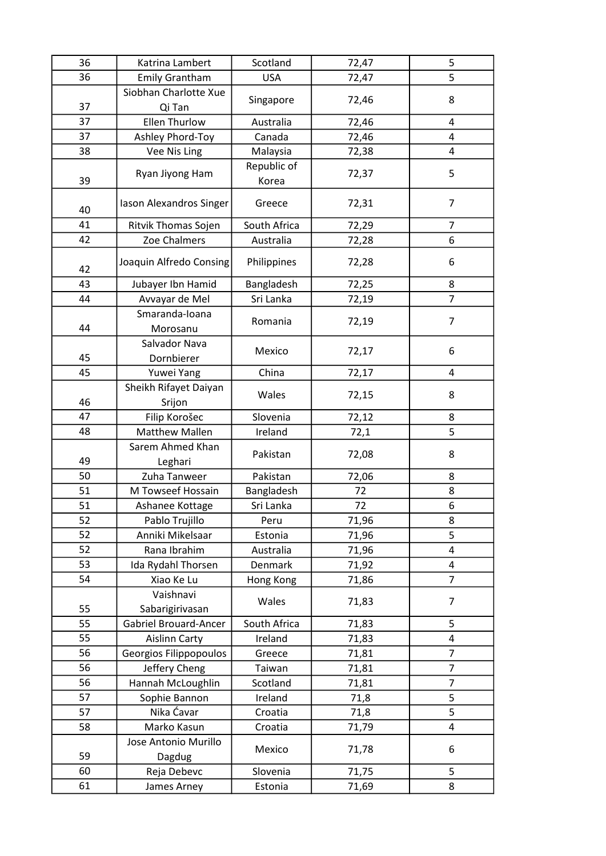| 36<br><b>Emily Grantham</b><br><b>USA</b><br>5<br>72,47<br>Siobhan Charlotte Xue<br>8<br>72,46<br>Singapore<br>37<br>Qi Tan<br>37<br><b>Ellen Thurlow</b><br>Australia<br>72,46<br>$\overline{4}$<br>Ashley Phord-Toy<br>Canada<br>37<br>72,46<br>4<br>38<br>Vee Nis Ling<br>Malaysia<br>$\overline{4}$<br>72,38<br>Republic of<br>5<br>Ryan Jiyong Ham<br>72,37<br>39<br>Korea<br>$\overline{7}$<br>Iason Alexandros Singer<br>72,31<br>Greece<br>40<br>41<br>$\overline{7}$<br>Ritvik Thomas Sojen<br>South Africa<br>72,29<br>42<br>Zoe Chalmers<br>Australia<br>6<br>72,28<br>Joaquin Alfredo Consing<br>Philippines<br>72,28<br>6<br>42<br>43<br>Jubayer Ibn Hamid<br>72,25<br>Bangladesh<br>8<br>$\overline{7}$<br>44<br>Avvayar de Mel<br>Sri Lanka<br>72,19<br>Smaranda-Ioana<br>$\overline{7}$<br>Romania<br>72,19<br>44<br>Morosanu<br>Salvador Nava<br>72,17<br>6<br>Mexico<br>45<br>Dornbierer<br>45<br>72,17<br>Yuwei Yang<br>China<br>4<br>Sheikh Rifayet Daiyan<br>Wales<br>72,15<br>8<br>46<br>Srijon<br>47<br>Filip Korošec<br>Slovenia<br>72,12<br>8<br><b>Matthew Mallen</b><br>5<br>48<br>Ireland<br>72,1<br>Sarem Ahmed Khan<br>Pakistan<br>8<br>72,08<br>49<br>Leghari<br>50<br>Pakistan<br>Zuha Tanweer<br>72,06<br>8<br>51<br>M Towseef Hossain<br>Bangladesh<br>72<br>8<br>6<br>51<br>Sri Lanka<br>$72\,$<br>Ashanee Kottage<br>52<br>Pablo Trujillo<br>8<br>Peru<br>71,96<br>52<br>Anniki Mikelsaar<br>5<br>71,96<br>Estonia<br>52<br>Rana Ibrahim<br>Australia<br>71,96<br>4<br>53<br>Ida Rydahl Thorsen<br>Denmark<br>71,92<br>4<br>$\overline{7}$<br>54<br>Xiao Ke Lu<br>Hong Kong<br>71,86<br>Vaishnavi<br>Wales<br>71,83<br>$\overline{7}$<br>55<br>Sabarigirivasan<br>55<br><b>Gabriel Brouard-Ancer</b><br>South Africa<br>5<br>71,83<br>55<br>Ireland<br>71,83<br>4<br><b>Aislinn Carty</b><br>56<br>Georgios Filippopoulos<br>$\overline{7}$<br>Greece<br>71,81<br>56<br>Jeffery Cheng<br>71,81<br>$\overline{7}$<br>Taiwan<br>$\overline{7}$<br>56<br>Hannah McLoughlin<br>Scotland<br>71,81<br>57<br>5<br>Ireland<br>Sophie Bannon<br>71,8<br>Nika Ćavar<br>5<br>57<br>Croatia<br>71,8<br>58<br>Marko Kasun<br>Croatia<br>71,79<br>4<br>Jose Antonio Murillo<br>Mexico<br>71,78<br>6<br>59<br>Dagdug<br>60<br>5<br>Reja Debevc<br>Slovenia<br>71,75<br>8<br>61<br>Estonia<br>71,69<br>James Arney | Katrina Lambert | Scotland | 72,47 | 5 |
|----------------------------------------------------------------------------------------------------------------------------------------------------------------------------------------------------------------------------------------------------------------------------------------------------------------------------------------------------------------------------------------------------------------------------------------------------------------------------------------------------------------------------------------------------------------------------------------------------------------------------------------------------------------------------------------------------------------------------------------------------------------------------------------------------------------------------------------------------------------------------------------------------------------------------------------------------------------------------------------------------------------------------------------------------------------------------------------------------------------------------------------------------------------------------------------------------------------------------------------------------------------------------------------------------------------------------------------------------------------------------------------------------------------------------------------------------------------------------------------------------------------------------------------------------------------------------------------------------------------------------------------------------------------------------------------------------------------------------------------------------------------------------------------------------------------------------------------------------------------------------------------------------------------------------------------------------------------------------------------------------------------------------------------------------------------------------------------------------------------------------------------------------------------------------------------------------------------------------------------------------------------------------------------------------------------------------------------|-----------------|----------|-------|---|
|                                                                                                                                                                                                                                                                                                                                                                                                                                                                                                                                                                                                                                                                                                                                                                                                                                                                                                                                                                                                                                                                                                                                                                                                                                                                                                                                                                                                                                                                                                                                                                                                                                                                                                                                                                                                                                                                                                                                                                                                                                                                                                                                                                                                                                                                                                                                        |                 |          |       |   |
|                                                                                                                                                                                                                                                                                                                                                                                                                                                                                                                                                                                                                                                                                                                                                                                                                                                                                                                                                                                                                                                                                                                                                                                                                                                                                                                                                                                                                                                                                                                                                                                                                                                                                                                                                                                                                                                                                                                                                                                                                                                                                                                                                                                                                                                                                                                                        |                 |          |       |   |
|                                                                                                                                                                                                                                                                                                                                                                                                                                                                                                                                                                                                                                                                                                                                                                                                                                                                                                                                                                                                                                                                                                                                                                                                                                                                                                                                                                                                                                                                                                                                                                                                                                                                                                                                                                                                                                                                                                                                                                                                                                                                                                                                                                                                                                                                                                                                        |                 |          |       |   |
|                                                                                                                                                                                                                                                                                                                                                                                                                                                                                                                                                                                                                                                                                                                                                                                                                                                                                                                                                                                                                                                                                                                                                                                                                                                                                                                                                                                                                                                                                                                                                                                                                                                                                                                                                                                                                                                                                                                                                                                                                                                                                                                                                                                                                                                                                                                                        |                 |          |       |   |
|                                                                                                                                                                                                                                                                                                                                                                                                                                                                                                                                                                                                                                                                                                                                                                                                                                                                                                                                                                                                                                                                                                                                                                                                                                                                                                                                                                                                                                                                                                                                                                                                                                                                                                                                                                                                                                                                                                                                                                                                                                                                                                                                                                                                                                                                                                                                        |                 |          |       |   |
|                                                                                                                                                                                                                                                                                                                                                                                                                                                                                                                                                                                                                                                                                                                                                                                                                                                                                                                                                                                                                                                                                                                                                                                                                                                                                                                                                                                                                                                                                                                                                                                                                                                                                                                                                                                                                                                                                                                                                                                                                                                                                                                                                                                                                                                                                                                                        |                 |          |       |   |
|                                                                                                                                                                                                                                                                                                                                                                                                                                                                                                                                                                                                                                                                                                                                                                                                                                                                                                                                                                                                                                                                                                                                                                                                                                                                                                                                                                                                                                                                                                                                                                                                                                                                                                                                                                                                                                                                                                                                                                                                                                                                                                                                                                                                                                                                                                                                        |                 |          |       |   |
|                                                                                                                                                                                                                                                                                                                                                                                                                                                                                                                                                                                                                                                                                                                                                                                                                                                                                                                                                                                                                                                                                                                                                                                                                                                                                                                                                                                                                                                                                                                                                                                                                                                                                                                                                                                                                                                                                                                                                                                                                                                                                                                                                                                                                                                                                                                                        |                 |          |       |   |
|                                                                                                                                                                                                                                                                                                                                                                                                                                                                                                                                                                                                                                                                                                                                                                                                                                                                                                                                                                                                                                                                                                                                                                                                                                                                                                                                                                                                                                                                                                                                                                                                                                                                                                                                                                                                                                                                                                                                                                                                                                                                                                                                                                                                                                                                                                                                        |                 |          |       |   |
|                                                                                                                                                                                                                                                                                                                                                                                                                                                                                                                                                                                                                                                                                                                                                                                                                                                                                                                                                                                                                                                                                                                                                                                                                                                                                                                                                                                                                                                                                                                                                                                                                                                                                                                                                                                                                                                                                                                                                                                                                                                                                                                                                                                                                                                                                                                                        |                 |          |       |   |
|                                                                                                                                                                                                                                                                                                                                                                                                                                                                                                                                                                                                                                                                                                                                                                                                                                                                                                                                                                                                                                                                                                                                                                                                                                                                                                                                                                                                                                                                                                                                                                                                                                                                                                                                                                                                                                                                                                                                                                                                                                                                                                                                                                                                                                                                                                                                        |                 |          |       |   |
|                                                                                                                                                                                                                                                                                                                                                                                                                                                                                                                                                                                                                                                                                                                                                                                                                                                                                                                                                                                                                                                                                                                                                                                                                                                                                                                                                                                                                                                                                                                                                                                                                                                                                                                                                                                                                                                                                                                                                                                                                                                                                                                                                                                                                                                                                                                                        |                 |          |       |   |
|                                                                                                                                                                                                                                                                                                                                                                                                                                                                                                                                                                                                                                                                                                                                                                                                                                                                                                                                                                                                                                                                                                                                                                                                                                                                                                                                                                                                                                                                                                                                                                                                                                                                                                                                                                                                                                                                                                                                                                                                                                                                                                                                                                                                                                                                                                                                        |                 |          |       |   |
|                                                                                                                                                                                                                                                                                                                                                                                                                                                                                                                                                                                                                                                                                                                                                                                                                                                                                                                                                                                                                                                                                                                                                                                                                                                                                                                                                                                                                                                                                                                                                                                                                                                                                                                                                                                                                                                                                                                                                                                                                                                                                                                                                                                                                                                                                                                                        |                 |          |       |   |
|                                                                                                                                                                                                                                                                                                                                                                                                                                                                                                                                                                                                                                                                                                                                                                                                                                                                                                                                                                                                                                                                                                                                                                                                                                                                                                                                                                                                                                                                                                                                                                                                                                                                                                                                                                                                                                                                                                                                                                                                                                                                                                                                                                                                                                                                                                                                        |                 |          |       |   |
|                                                                                                                                                                                                                                                                                                                                                                                                                                                                                                                                                                                                                                                                                                                                                                                                                                                                                                                                                                                                                                                                                                                                                                                                                                                                                                                                                                                                                                                                                                                                                                                                                                                                                                                                                                                                                                                                                                                                                                                                                                                                                                                                                                                                                                                                                                                                        |                 |          |       |   |
|                                                                                                                                                                                                                                                                                                                                                                                                                                                                                                                                                                                                                                                                                                                                                                                                                                                                                                                                                                                                                                                                                                                                                                                                                                                                                                                                                                                                                                                                                                                                                                                                                                                                                                                                                                                                                                                                                                                                                                                                                                                                                                                                                                                                                                                                                                                                        |                 |          |       |   |
|                                                                                                                                                                                                                                                                                                                                                                                                                                                                                                                                                                                                                                                                                                                                                                                                                                                                                                                                                                                                                                                                                                                                                                                                                                                                                                                                                                                                                                                                                                                                                                                                                                                                                                                                                                                                                                                                                                                                                                                                                                                                                                                                                                                                                                                                                                                                        |                 |          |       |   |
|                                                                                                                                                                                                                                                                                                                                                                                                                                                                                                                                                                                                                                                                                                                                                                                                                                                                                                                                                                                                                                                                                                                                                                                                                                                                                                                                                                                                                                                                                                                                                                                                                                                                                                                                                                                                                                                                                                                                                                                                                                                                                                                                                                                                                                                                                                                                        |                 |          |       |   |
|                                                                                                                                                                                                                                                                                                                                                                                                                                                                                                                                                                                                                                                                                                                                                                                                                                                                                                                                                                                                                                                                                                                                                                                                                                                                                                                                                                                                                                                                                                                                                                                                                                                                                                                                                                                                                                                                                                                                                                                                                                                                                                                                                                                                                                                                                                                                        |                 |          |       |   |
|                                                                                                                                                                                                                                                                                                                                                                                                                                                                                                                                                                                                                                                                                                                                                                                                                                                                                                                                                                                                                                                                                                                                                                                                                                                                                                                                                                                                                                                                                                                                                                                                                                                                                                                                                                                                                                                                                                                                                                                                                                                                                                                                                                                                                                                                                                                                        |                 |          |       |   |
|                                                                                                                                                                                                                                                                                                                                                                                                                                                                                                                                                                                                                                                                                                                                                                                                                                                                                                                                                                                                                                                                                                                                                                                                                                                                                                                                                                                                                                                                                                                                                                                                                                                                                                                                                                                                                                                                                                                                                                                                                                                                                                                                                                                                                                                                                                                                        |                 |          |       |   |
|                                                                                                                                                                                                                                                                                                                                                                                                                                                                                                                                                                                                                                                                                                                                                                                                                                                                                                                                                                                                                                                                                                                                                                                                                                                                                                                                                                                                                                                                                                                                                                                                                                                                                                                                                                                                                                                                                                                                                                                                                                                                                                                                                                                                                                                                                                                                        |                 |          |       |   |
|                                                                                                                                                                                                                                                                                                                                                                                                                                                                                                                                                                                                                                                                                                                                                                                                                                                                                                                                                                                                                                                                                                                                                                                                                                                                                                                                                                                                                                                                                                                                                                                                                                                                                                                                                                                                                                                                                                                                                                                                                                                                                                                                                                                                                                                                                                                                        |                 |          |       |   |
|                                                                                                                                                                                                                                                                                                                                                                                                                                                                                                                                                                                                                                                                                                                                                                                                                                                                                                                                                                                                                                                                                                                                                                                                                                                                                                                                                                                                                                                                                                                                                                                                                                                                                                                                                                                                                                                                                                                                                                                                                                                                                                                                                                                                                                                                                                                                        |                 |          |       |   |
|                                                                                                                                                                                                                                                                                                                                                                                                                                                                                                                                                                                                                                                                                                                                                                                                                                                                                                                                                                                                                                                                                                                                                                                                                                                                                                                                                                                                                                                                                                                                                                                                                                                                                                                                                                                                                                                                                                                                                                                                                                                                                                                                                                                                                                                                                                                                        |                 |          |       |   |
|                                                                                                                                                                                                                                                                                                                                                                                                                                                                                                                                                                                                                                                                                                                                                                                                                                                                                                                                                                                                                                                                                                                                                                                                                                                                                                                                                                                                                                                                                                                                                                                                                                                                                                                                                                                                                                                                                                                                                                                                                                                                                                                                                                                                                                                                                                                                        |                 |          |       |   |
|                                                                                                                                                                                                                                                                                                                                                                                                                                                                                                                                                                                                                                                                                                                                                                                                                                                                                                                                                                                                                                                                                                                                                                                                                                                                                                                                                                                                                                                                                                                                                                                                                                                                                                                                                                                                                                                                                                                                                                                                                                                                                                                                                                                                                                                                                                                                        |                 |          |       |   |
|                                                                                                                                                                                                                                                                                                                                                                                                                                                                                                                                                                                                                                                                                                                                                                                                                                                                                                                                                                                                                                                                                                                                                                                                                                                                                                                                                                                                                                                                                                                                                                                                                                                                                                                                                                                                                                                                                                                                                                                                                                                                                                                                                                                                                                                                                                                                        |                 |          |       |   |
|                                                                                                                                                                                                                                                                                                                                                                                                                                                                                                                                                                                                                                                                                                                                                                                                                                                                                                                                                                                                                                                                                                                                                                                                                                                                                                                                                                                                                                                                                                                                                                                                                                                                                                                                                                                                                                                                                                                                                                                                                                                                                                                                                                                                                                                                                                                                        |                 |          |       |   |
|                                                                                                                                                                                                                                                                                                                                                                                                                                                                                                                                                                                                                                                                                                                                                                                                                                                                                                                                                                                                                                                                                                                                                                                                                                                                                                                                                                                                                                                                                                                                                                                                                                                                                                                                                                                                                                                                                                                                                                                                                                                                                                                                                                                                                                                                                                                                        |                 |          |       |   |
|                                                                                                                                                                                                                                                                                                                                                                                                                                                                                                                                                                                                                                                                                                                                                                                                                                                                                                                                                                                                                                                                                                                                                                                                                                                                                                                                                                                                                                                                                                                                                                                                                                                                                                                                                                                                                                                                                                                                                                                                                                                                                                                                                                                                                                                                                                                                        |                 |          |       |   |
|                                                                                                                                                                                                                                                                                                                                                                                                                                                                                                                                                                                                                                                                                                                                                                                                                                                                                                                                                                                                                                                                                                                                                                                                                                                                                                                                                                                                                                                                                                                                                                                                                                                                                                                                                                                                                                                                                                                                                                                                                                                                                                                                                                                                                                                                                                                                        |                 |          |       |   |
|                                                                                                                                                                                                                                                                                                                                                                                                                                                                                                                                                                                                                                                                                                                                                                                                                                                                                                                                                                                                                                                                                                                                                                                                                                                                                                                                                                                                                                                                                                                                                                                                                                                                                                                                                                                                                                                                                                                                                                                                                                                                                                                                                                                                                                                                                                                                        |                 |          |       |   |
|                                                                                                                                                                                                                                                                                                                                                                                                                                                                                                                                                                                                                                                                                                                                                                                                                                                                                                                                                                                                                                                                                                                                                                                                                                                                                                                                                                                                                                                                                                                                                                                                                                                                                                                                                                                                                                                                                                                                                                                                                                                                                                                                                                                                                                                                                                                                        |                 |          |       |   |
|                                                                                                                                                                                                                                                                                                                                                                                                                                                                                                                                                                                                                                                                                                                                                                                                                                                                                                                                                                                                                                                                                                                                                                                                                                                                                                                                                                                                                                                                                                                                                                                                                                                                                                                                                                                                                                                                                                                                                                                                                                                                                                                                                                                                                                                                                                                                        |                 |          |       |   |
|                                                                                                                                                                                                                                                                                                                                                                                                                                                                                                                                                                                                                                                                                                                                                                                                                                                                                                                                                                                                                                                                                                                                                                                                                                                                                                                                                                                                                                                                                                                                                                                                                                                                                                                                                                                                                                                                                                                                                                                                                                                                                                                                                                                                                                                                                                                                        |                 |          |       |   |
|                                                                                                                                                                                                                                                                                                                                                                                                                                                                                                                                                                                                                                                                                                                                                                                                                                                                                                                                                                                                                                                                                                                                                                                                                                                                                                                                                                                                                                                                                                                                                                                                                                                                                                                                                                                                                                                                                                                                                                                                                                                                                                                                                                                                                                                                                                                                        |                 |          |       |   |
|                                                                                                                                                                                                                                                                                                                                                                                                                                                                                                                                                                                                                                                                                                                                                                                                                                                                                                                                                                                                                                                                                                                                                                                                                                                                                                                                                                                                                                                                                                                                                                                                                                                                                                                                                                                                                                                                                                                                                                                                                                                                                                                                                                                                                                                                                                                                        |                 |          |       |   |
|                                                                                                                                                                                                                                                                                                                                                                                                                                                                                                                                                                                                                                                                                                                                                                                                                                                                                                                                                                                                                                                                                                                                                                                                                                                                                                                                                                                                                                                                                                                                                                                                                                                                                                                                                                                                                                                                                                                                                                                                                                                                                                                                                                                                                                                                                                                                        |                 |          |       |   |
|                                                                                                                                                                                                                                                                                                                                                                                                                                                                                                                                                                                                                                                                                                                                                                                                                                                                                                                                                                                                                                                                                                                                                                                                                                                                                                                                                                                                                                                                                                                                                                                                                                                                                                                                                                                                                                                                                                                                                                                                                                                                                                                                                                                                                                                                                                                                        |                 |          |       |   |
|                                                                                                                                                                                                                                                                                                                                                                                                                                                                                                                                                                                                                                                                                                                                                                                                                                                                                                                                                                                                                                                                                                                                                                                                                                                                                                                                                                                                                                                                                                                                                                                                                                                                                                                                                                                                                                                                                                                                                                                                                                                                                                                                                                                                                                                                                                                                        |                 |          |       |   |
|                                                                                                                                                                                                                                                                                                                                                                                                                                                                                                                                                                                                                                                                                                                                                                                                                                                                                                                                                                                                                                                                                                                                                                                                                                                                                                                                                                                                                                                                                                                                                                                                                                                                                                                                                                                                                                                                                                                                                                                                                                                                                                                                                                                                                                                                                                                                        |                 |          |       |   |
|                                                                                                                                                                                                                                                                                                                                                                                                                                                                                                                                                                                                                                                                                                                                                                                                                                                                                                                                                                                                                                                                                                                                                                                                                                                                                                                                                                                                                                                                                                                                                                                                                                                                                                                                                                                                                                                                                                                                                                                                                                                                                                                                                                                                                                                                                                                                        |                 |          |       |   |
|                                                                                                                                                                                                                                                                                                                                                                                                                                                                                                                                                                                                                                                                                                                                                                                                                                                                                                                                                                                                                                                                                                                                                                                                                                                                                                                                                                                                                                                                                                                                                                                                                                                                                                                                                                                                                                                                                                                                                                                                                                                                                                                                                                                                                                                                                                                                        |                 |          |       |   |
|                                                                                                                                                                                                                                                                                                                                                                                                                                                                                                                                                                                                                                                                                                                                                                                                                                                                                                                                                                                                                                                                                                                                                                                                                                                                                                                                                                                                                                                                                                                                                                                                                                                                                                                                                                                                                                                                                                                                                                                                                                                                                                                                                                                                                                                                                                                                        |                 |          |       |   |
|                                                                                                                                                                                                                                                                                                                                                                                                                                                                                                                                                                                                                                                                                                                                                                                                                                                                                                                                                                                                                                                                                                                                                                                                                                                                                                                                                                                                                                                                                                                                                                                                                                                                                                                                                                                                                                                                                                                                                                                                                                                                                                                                                                                                                                                                                                                                        |                 |          |       |   |
|                                                                                                                                                                                                                                                                                                                                                                                                                                                                                                                                                                                                                                                                                                                                                                                                                                                                                                                                                                                                                                                                                                                                                                                                                                                                                                                                                                                                                                                                                                                                                                                                                                                                                                                                                                                                                                                                                                                                                                                                                                                                                                                                                                                                                                                                                                                                        |                 |          |       |   |
|                                                                                                                                                                                                                                                                                                                                                                                                                                                                                                                                                                                                                                                                                                                                                                                                                                                                                                                                                                                                                                                                                                                                                                                                                                                                                                                                                                                                                                                                                                                                                                                                                                                                                                                                                                                                                                                                                                                                                                                                                                                                                                                                                                                                                                                                                                                                        |                 |          |       |   |
|                                                                                                                                                                                                                                                                                                                                                                                                                                                                                                                                                                                                                                                                                                                                                                                                                                                                                                                                                                                                                                                                                                                                                                                                                                                                                                                                                                                                                                                                                                                                                                                                                                                                                                                                                                                                                                                                                                                                                                                                                                                                                                                                                                                                                                                                                                                                        |                 |          |       |   |